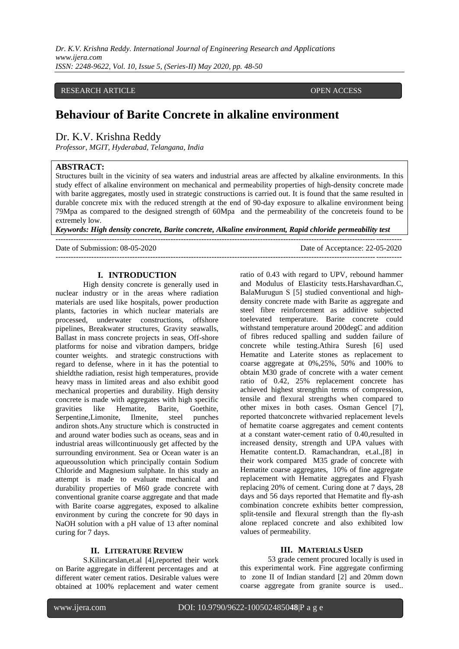#### RESEARCH ARTICLE **CONTRACT ARTICLE** AND **RESEARCH** ARTICLE **OPEN ACCESS**

# **Behaviour of Barite Concrete in alkaline environment**

# Dr. K.V. Krishna Reddy

*Professor, MGIT, Hyderabad, Telangana, India*

### **ABSTRACT:**

Structures built in the vicinity of sea waters and industrial areas are affected by alkaline environments. In this study effect of alkaline environment on mechanical and permeability properties of high-density concrete made with barite aggregates, mostly used in strategic constructions is carried out. It is found that the same resulted in durable concrete mix with the reduced strength at the end of 90-day exposure to alkaline environment being 79Mpa as compared to the designed strength of 60Mpa and the permeability of the concreteis found to be extremely low.

*Keywords: High density concrete, Barite concrete, Alkaline environment, Rapid chloride permeability test* ---------------------------------------------------------------------------------------------------------------------------------------

---------------------------------------------------------------------------------------------------------------------------------------

Date of Submission: 08-05-2020 Date of Acceptance: 22-05-2020

#### **I. INTRODUCTION**

High density concrete is generally used in nuclear industry or in the areas where radiation materials are used like hospitals, power production plants, factories in which nuclear materials are processed, underwater constructions, offshore pipelines, Breakwater structures, Gravity seawalls, Ballast in mass concrete projects in seas, Off-shore platforms for noise and vibration dampers, bridge counter weights. and strategic constructions with regard to defense, where in it has the potential to shieldthe radiation, resist high temperatures, provide heavy mass in limited areas and also exhibit good mechanical properties and durability. High density concrete is made with aggregates with high specific<br>gravities like Hematite, Barite, Goethite, gravities like Hematite, Barite, Goethite, Serpentine,Limonite, Ilmenite, steel punches andiron shots.Any structure which is constructed in and around water bodies such as oceans, seas and in industrial areas willcontinuously get affected by the surrounding environment. Sea or Ocean water is an aqueoussolution which principally contain Sodium Chloride and Magnesium sulphate. In this study an attempt is made to evaluate mechanical and durability properties of M60 grade concrete with conventional granite coarse aggregate and that made with Barite coarse aggregates, exposed to alkaline environment by curing the concrete for 90 days in NaOH solution with a pH value of 13 after nominal curing for 7 days.

#### **II. LITERATURE REVIEW**

S.Kilincarslan,et.al [4],reported their work on Barite aggregate in different percentages and at different water cement ratios. Desirable values were obtained at 100% replacement and water cement

ratio of 0.43 with regard to UPV, rebound hammer and Modulus of Elasticity tests.Harshavardhan.C, BalaMurugun S [5] studied conventional and highdensity concrete made with Barite as aggregate and steel fibre reinforcement as additive subjected toelevated temperature. Barite concrete could withstand temperature around 200degC and addition of fibres reduced spalling and sudden failure of concrete while testing.Athira Suresh [6] used Hematite and Laterite stones as replacement to coarse aggregate at 0%,25%, 50% and 100% to obtain M30 grade of concrete with a water cement ratio of 0.42, 25% replacement concrete has achieved highest strengthin terms of compression, tensile and flexural strengths when compared to other mixes in both cases. Osman Gencel [7], reported thatconcrete withvaried replacement levels of hematite coarse aggregates and cement contents at a constant water-cement ratio of 0.40,resulted in increased density, strength and UPA values with Hematite content.D. Ramachandran, et.al.,[8] in their work compared M35 grade of concrete with Hematite coarse aggregates, 10% of fine aggregate replacement with Hematite aggregates and Flyash replacing 20% of cement. Curing done at 7 days, 28 days and 56 days reported that Hematite and fly-ash combination concrete exhibits better compression, split-tensile and flexural strength than the fly-ash alone replaced concrete and also exhibited low values of permeability.

## **III. MATERIALS USED**

53 grade cement procured locally is used in this experimental work. Fine aggregate confirming to zone II of Indian standard [2] and 20mm down coarse aggregate from granite source is used..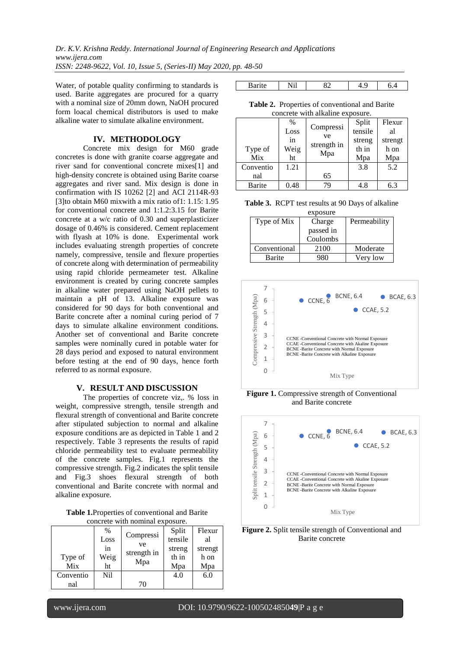*Dr. K.V. Krishna Reddy. International Journal of Engineering Research and Applications www.ijera.com ISSN: 2248-9622, Vol. 10, Issue 5, (Series-II) May 2020, pp. 48-50*

Water, of potable quality confirming to standards is used. Barite aggregates are procured for a quarry with a nominal size of 20mm down, NaOH procured form loacal chemical distributors is used to make alkaline water to simulate alkaline environment.

### **IV. METHODOLOGY**

Concrete mix design for M60 grade concretes is done with granite coarse aggregate and river sand for conventional concrete mixes[1] and high-density concrete is obtained using Barite coarse aggregates and river sand. Mix design is done in confirmation with IS 10262 [2] and ACI 2114R-93 [3]to obtain M60 mixwith a mix ratio of1: 1.15: 1.95 for conventional concrete and 1:1.2:3.15 for Barite concrete at a w/c ratio of 0.30 and superplasticizer dosage of 0.46% is considered. Cement replacement with flyash at 10% is done. Experimental work includes evaluating strength properties of concrete namely, compressive, tensile and flexure properties of concrete along with determination of permeability using rapid chloride permeameter test. Alkaline environment is created by curing concrete samples in alkaline water prepared using NaOH pellets to maintain a pH of 13. Alkaline exposure was considered for 90 days for both conventional and Barite concrete after a nominal curing period of 7 days to simulate alkaline environment conditions. Another set of conventional and Barite concrete samples were nominally cured in potable water for 28 days period and exposed to natural environment before testing at the end of 90 days, hence forth referred to as normal exposure.

# **V. RESULT AND DISCUSSION**

The properties of concrete viz,. % loss in weight, compressive strength, tensile strength and flexural strength of conventional and Barite concrete after stipulated subjection to normal and alkaline exposure conditions are as depicted in Table 1 and 2 respectively. Table 3 represents the results of rapid chloride permeability test to evaluate permeability of the concrete samples. Fig.1 represents the compressive strength. Fig.2 indicates the split tensile and Fig.3 shoes flexural strength of both conventional and Barite concrete with normal and alkaline exposure.

| Table 1. Properties of conventional and Barite |
|------------------------------------------------|
| concrete with nominal exposure.                |

| concrete with hominial exposure. |      |                 |         |         |
|----------------------------------|------|-----------------|---------|---------|
|                                  | $\%$ |                 | Split   | Flexur  |
|                                  | Loss | Compressi<br>ve | tensile | al      |
|                                  | in   | strength in     | streng  | strengt |
| Type of                          | Weig |                 | th in   | h on    |
| Mix                              | ht   | Mpa             | Mpa     | Mpa     |
| Conventio                        | Nil  |                 | 4.0     | 6.0     |
| nal                              |      | 70              |         |         |

| $\cdots$ | .<br>.<br><b>TATT</b> | ٤D.<br>ັ້ |  |
|----------|-----------------------|-----------|--|

**Table 2.** Properties of conventional and Barite concrete with alkaline exposure

| concrete with anxanne exposure. |      |                   |         |         |
|---------------------------------|------|-------------------|---------|---------|
|                                 | $\%$ |                   | Split   | Flexur  |
|                                 | Loss | Compressi         | tensile | al      |
|                                 | in   | ve<br>strength in | streng  | strengt |
| Type of                         | Weig | Mpa               | th in   | h on    |
| Mix                             | ht   |                   | Mpa     | Mpa     |
| Conventio                       | 1.21 |                   | 3.8     | 5.2     |
| nal                             |      | 65                |         |         |
| Barite                          | 0.48 | 79                | 4.8     | 6.3     |

| <b>Table 3.</b> RCPT test results at 90 Days of alkaline |
|----------------------------------------------------------|
| exposure                                                 |

| Type of Mix  | Charge    | Permeability |
|--------------|-----------|--------------|
|              | passed in |              |
|              | Coulombs  |              |
| Conventional | 2100      | Moderate     |
| Barite       | 980       | Very low     |



**Figure 1.** Compressive strength of Conventional and Barite concrete



**Figure 2.** Split tensile strength of Conventional and Barite concrete